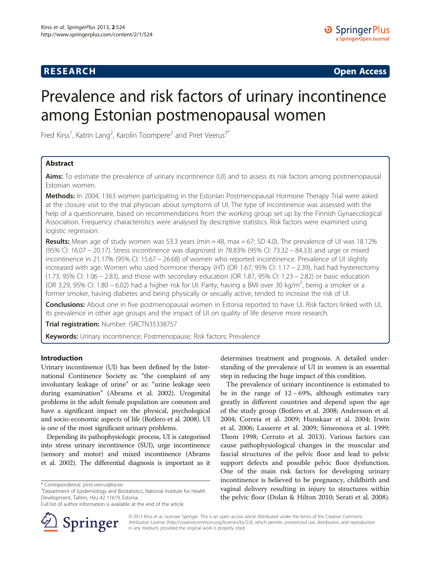## **RESEARCH CHINESE ARCH CHINESE ARCH CHINESE ARCH <b>CHINESE ARCH**

# Prevalence and risk factors of urinary incontinence among Estonian postmenopausal women

Fred Kirss<sup>1</sup>, Katrin Lang<sup>2</sup>, Karolin Toompere<sup>2</sup> and Piret Veerus<sup>3\*</sup>

## Abstract

Aims: To estimate the prevalence of urinary incontinence (UI) and to assess its risk factors among postmenopausal Estonian women.

Methods: In 2004, 1363 women participating in the Estonian Postmenopausal Hormone Therapy Trial were asked at the closure visit to the trial physician about symptoms of UI. The type of incontinence was assessed with the help of a questionnaire, based on recommendations from the working group set up by the Finnish Gynaecological Association. Frequency characteristics were analysed by descriptive statistics. Risk factors were examined using logistic regression.

**Results:** Mean age of study women was 53.3 years (min = 48, max = 67; SD 4.0). The prevalence of UI was 18.12% (95% CI: 16.07 − 20.17). Stress incontinence was diagnosed in 78.83% (95% CI: 73.32 − 84.33) and urge or mixed incontinence in 21.17% (95% CI: 15.67 − 26.68) of women who reported incontinence. Prevalence of UI slightly increased with age. Women who used hormone therapy (HT) (OR 1.67; 95% CI: 1.17 − 2.39), had had hysterectomy (1.73, 95% CI: 1.06 − 2.83), and those with secondary education (OR 1.87, 95% CI: 1.23 − 2.82) or basic education (OR 3.29, 95% CI: 1.80 – 6.02) had a higher risk for UI. Parity, having a BMI over 30 kg/m<sup>2</sup>, being a smoker or a former smoker, having diabetes and being physically or sexually active, tended to increase the risk of UI.

Conclusions: About one in five postmenopausal women in Estonia reported to have UI. Risk factors linked with UI, its prevalence in other age groups and the impact of UI on quality of life deserve more research.

Trial registration: Number: [ISRCTN35338757](http://www.controlled-trials.com/ISRCTN35338757)

Keywords: Urinary incontinence; Postmenopause; Risk factors; Prevalence

## Introduction

Urinary incontinence (UI) has been defined by the International Continence Society as: "the complaint of any involuntary leakage of urine" or as: "urine leakage seen during examination" (Abrams et al. [2002\)](#page-5-0). Urogenital problems in the adult female population are common and have a significant impact on the physical, psychological and socio-economic aspects of life (Botlero et al. [2008](#page-5-0)). UI is one of the most significant urinary problems.

Depending its pathophysiologic process, UI is categorised into stress urinary incontinence (SUI), urge incontinence (sensory and motor) and mixed incontinence (Abrams et al. [2002\)](#page-5-0). The differential diagnosis is important as it

Full list of author information is available at the end of the article



determines treatment and prognosis. A detailed understanding of the prevalence of UI in women is an essential step in reducing the huge impact of this condition.

The prevalence of urinary incontinence is estimated to be in the range of 12 − 69%, although estimates vary greatly in different countries and depend upon the age of the study group (Botlero et al. [2008](#page-5-0); Andersson et al. [2004](#page-5-0); Correia et al. [2009;](#page-5-0) Hunskaar et al. [2004;](#page-5-0) Irwin et al. [2006;](#page-5-0) Lasserre et al. [2009](#page-5-0); Simeonova et al. [1999](#page-5-0); Thom [1998;](#page-5-0) Cerruto et al. [2013](#page-5-0)). Various factors can cause pathophysiological changes in the muscular and fascial structures of the pelvic floor and lead to pelvic support defects and possible pelvic floor dysfunction. One of the main risk factors for developing urinary incontinence is believed to be pregnancy, childbirth and vaginal delivery resulting in injury to structures within the pelvic floor (Dolan & Hilton [2010;](#page-5-0) Serati et al. [2008](#page-5-0)).

© 2013 Kirss et al.; licensee Springer. This is an open access article distributed under the terms of the Creative Commons Attribution License [\(http://creativecommons.org/licenses/by/2.0\)](http://creativecommons.org/licenses/by/2.0), which permits unrestricted use, distribution, and reproduction in any medium, provided the original work is properly cited.

<sup>\*</sup> Correspondence: [piret.veerus@tai.ee](mailto:piret.veerus@tai.ee) <sup>3</sup>

<sup>&</sup>lt;sup>3</sup>Department of Epidemiology and Biostatistics, National Institute for Health Development, Tallinn, Hiiu 42 11619, Estonia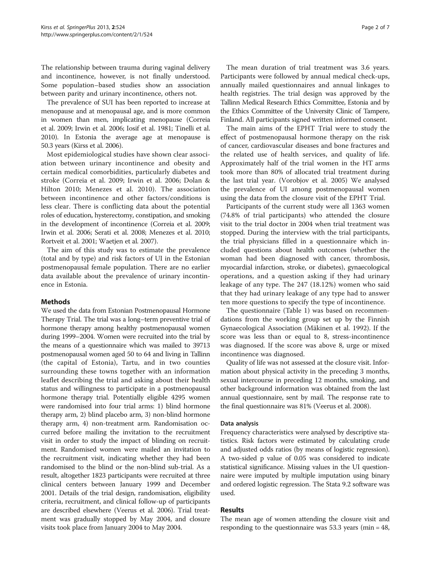The relationship between trauma during vaginal delivery and incontinence, however, is not finally understood. Some population–based studies show an association between parity and urinary incontinence, others not.

The prevalence of SUI has been reported to increase at menopause and at menopausal age, and is more common in women than men, implicating menopause (Correia et al. [2009](#page-5-0); Irwin et al. [2006;](#page-5-0) Iosif et al. [1981;](#page-5-0) Tinelli et al. [2010\)](#page-5-0). In Estonia the average age at menopause is 50.3 years (Kirss et al. [2006\)](#page-5-0).

Most epidemiological studies have shown clear association between urinary incontinence and obesity and certain medical comorbidities, particularly diabetes and stroke (Correia et al. [2009](#page-5-0); Irwin et al. [2006;](#page-5-0) Dolan & Hilton [2010;](#page-5-0) Menezes et al. [2010](#page-5-0)). The association between incontinence and other factors/conditions is less clear. There is conflicting data about the potential roles of education, hysterectomy, constipation, and smoking in the development of incontinence (Correia et al. [2009](#page-5-0); Irwin et al. [2006](#page-5-0); Serati et al. [2008](#page-5-0); Menezes et al. [2010](#page-5-0); Rortveit et al. [2001;](#page-5-0) Waetjen et al. [2007](#page-6-0)).

The aim of this study was to estimate the prevalence (total and by type) and risk factors of UI in the Estonian postmenopausal female population. There are no earlier data available about the prevalence of urinary incontinence in Estonia.

## Methods

We used the data from Estonian Postmenopausal Hormone Therapy Trial. The trial was a long–term preventive trial of hormone therapy among healthy postmenopausal women during 1999–2004. Women were recruited into the trial by the means of a questionnaire which was mailed to 39713 postmenopausal women aged 50 to 64 and living in Tallinn (the capital of Estonia), Tartu, and in two counties surrounding these towns together with an information leaflet describing the trial and asking about their health status and willingness to participate in a postmenopausal hormone therapy trial. Potentially eligible 4295 women were randomised into four trial arms: 1) blind hormone therapy arm, 2) blind placebo arm, 3) non-blind hormone therapy arm, 4) non-treatment arm. Randomisation occurred before mailing the invitation to the recruitment visit in order to study the impact of blinding on recruitment. Randomised women were mailed an invitation to the recruitment visit, indicating whether they had been randomised to the blind or the non-blind sub-trial. As a result, altogether 1823 participants were recruited at three clinical centers between January 1999 and December 2001. Details of the trial design, randomisation, eligibility criteria, recruitment, and clinical follow-up of participants are described elsewhere (Veerus et al. [2006](#page-5-0)). Trial treatment was gradually stopped by May 2004, and closure visits took place from January 2004 to May 2004.

The mean duration of trial treatment was 3.6 years. Participants were followed by annual medical check-ups, annually mailed questionnaires and annual linkages to health registries. The trial design was approved by the Tallinn Medical Research Ethics Committee, Estonia and by the Ethics Committee of the University Clinic of Tampere, Finland. All participants signed written informed consent.

The main aims of the EPHT Trial were to study the effect of postmenopausal hormone therapy on the risk of cancer, cardiovascular diseases and bone fractures and the related use of health services, and quality of life. Approximately half of the trial women in the HT arms took more than 80% of allocated trial treatment during the last trial year. (Vorobjov et al. [2005](#page-6-0)) We analysed the prevalence of UI among postmenopausal women using the data from the closure visit of the EPHT Trial.

Participants of the current study were all 1363 women (74.8% of trial participants) who attended the closure visit to the trial doctor in 2004 when trial treatment was stopped. During the interview with the trial participants, the trial physicians filled in a questionnaire which included questions about health outcomes (whether the woman had been diagnosed with cancer, thrombosis, myocardial infarction, stroke, or diabetes), gynaecological operations, and a question asking if they had urinary leakage of any type. The 247 (18.12%) women who said that they had urinary leakage of any type had to answer ten more questions to specify the type of incontinence.

The questionnaire (Table [1](#page-2-0)) was based on recommendations from the working group set up by the Finnish Gynaecological Association (Mäkinen et al. [1992](#page-5-0)). If the score was less than or equal to 8, stress-incontinence was diagnosed. If the score was above 8, urge or mixed incontinence was diagnosed.

Quality of life was not assessed at the closure visit. Information about physical activity in the preceding 3 months, sexual intercourse in preceding 12 months, smoking, and other background information was obtained from the last annual questionnaire, sent by mail. The response rate to the final questionnaire was 81% (Veerus et al. [2008\)](#page-6-0).

## Data analysis

Frequency characteristics were analysed by descriptive statistics. Risk factors were estimated by calculating crude and adjusted odds ratios (by means of logistic regression). A two-sided p value of 0.05 was considered to indicate statistical significance. Missing values in the UI questionnaire were imputed by multiple imputation using binary and ordered logistic regression. The Stata 9.2 software was used.

## Results

The mean age of women attending the closure visit and responding to the questionnaire was 53.3 years (min = 48,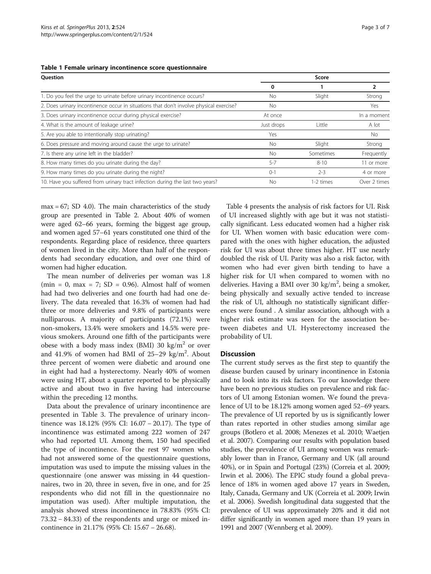<span id="page-2-0"></span>

|  |  |  |  |  | Table 1 Female urinary incontinence score questionnaire |
|--|--|--|--|--|---------------------------------------------------------|
|--|--|--|--|--|---------------------------------------------------------|

| Question                                                                               |            | Score     |              |
|----------------------------------------------------------------------------------------|------------|-----------|--------------|
|                                                                                        | 0          |           | 2            |
| 1. Do you feel the urge to urinate before urinary incontinence occurs?                 | No         | Slight    | Strong       |
| 2. Does urinary incontinence occur in situations that don't involve physical exercise? | No.        |           | Yes          |
| 3. Does urinary incontinence occur during physical exercise?                           | At once    |           | In a moment  |
| 4. What is the amount of leakage urine?                                                | Just drops | Little    | A lot        |
| 5. Are you able to intentionally stop urinating?                                       | Yes        |           | No.          |
| 6. Does pressure and moving around cause the urge to urinate?                          | <b>No</b>  | Slight    | Strong       |
| 7. Is there any urine left in the bladder?                                             | <b>No</b>  | Sometimes | Frequently   |
| 8. How many times do you urinate during the day?                                       | $5 - 7$    | $8 - 10$  | 11 or more   |
| 9. How many times do you urinate during the night?                                     | $() - 1$   | $2 - 3$   | 4 or more    |
| 10. Have you suffered from urinary tract infection during the last two years?          | Nο         | 1-2 times | Over 2 times |

max = 67; SD 4.0). The main characteristics of the study group are presented in Table [2.](#page-3-0) About 40% of women were aged 62–66 years, forming the biggest age group, and women aged 57–61 years constituted one third of the respondents. Regarding place of residence, three quarters of women lived in the city. More than half of the respondents had secondary education, and over one third of women had higher education.

The mean number of deliveries per woman was 1.8 (min = 0, max = 7;  $SD = 0.96$ ). Almost half of women had had two deliveries and one fourth had had one delivery. The data revealed that 16.3% of women had had three or more deliveries and 9.8% of participants were nulliparous. A majority of participants (72.1%) were non-smokers, 13.4% were smokers and 14.5% were previous smokers. Around one fifth of the participants were obese with a body mass index (BMI) 30 kg/ $m<sup>2</sup>$  or over and  $41.9\%$  of women had BMI of  $25-29$  kg/m<sup>2</sup>. About three percent of women were diabetic and around one in eight had had a hysterectomy. Nearly 40% of women were using HT, about a quarter reported to be physically active and about two in five having had intercourse within the preceding 12 months.

Data about the prevalence of urinary incontinence are presented in Table [3.](#page-3-0) The prevalence of urinary incontinence was 18.12% (95% CI: 16.07 − 20.17). The type of incontinence was estimated among 222 women of 247 who had reported UI. Among them, 150 had specified the type of incontinence. For the rest 97 women who had not answered some of the questionnaire questions, imputation was used to impute the missing values in the questionnaire (one answer was missing in 44 questionnaires, two in 20, three in seven, five in one, and for 25 respondents who did not fill in the questionnaire no imputation was used). After multiple imputation, the analysis showed stress incontinence in 78.83% (95% CI: 73.32 − 84.33) of the respondents and urge or mixed incontinence in 21.17% (95% CI: 15.67 − 26.68).

Table [4](#page-4-0) presents the analysis of risk factors for UI. Risk of UI increased slightly with age but it was not statistically significant. Less educated women had a higher risk for UI. When women with basic education were compared with the ones with higher education, the adjusted risk for UI was about three times higher. HT use nearly doubled the risk of UI. Parity was also a risk factor, with women who had ever given birth tending to have a higher risk for UI when compared to women with no deliveries. Having a BMI over 30 kg/m<sup>2</sup>, being a smoker, being physically and sexually active tended to increase the risk of UI, although no statistically significant differences were found . A similar association, although with a higher risk estimate was seen for the association between diabetes and UI. Hysterectomy increased the probability of UI.

## **Discussion**

The current study serves as the first step to quantify the disease burden caused by urinary incontinence in Estonia and to look into its risk factors. To our knowledge there have been no previous studies on prevalence and risk factors of UI among Estonian women. We found the prevalence of UI to be 18.12% among women aged 52–69 years. The prevalence of UI reported by us is significantly lower than rates reported in other studies among similar age groups (Botlero et al. [2008](#page-5-0); Menezes et al. [2010;](#page-5-0) Waetjen et al. [2007](#page-6-0)). Comparing our results with population based studies, the prevalence of UI among women was remarkably lower than in France, Germany and UK (all around 40%), or in Spain and Portugal (23%) (Correia et al. [2009](#page-5-0); Irwin et al. [2006\)](#page-5-0). The EPIC study found a global prevalence of 18% in women aged above 17 years in Sweden, Italy, Canada, Germany and UK (Correia et al. [2009](#page-5-0); Irwin et al. [2006](#page-5-0)). Swedish longitudinal data suggested that the prevalence of UI was approximately 20% and it did not differ significantly in women aged more than 19 years in 1991 and 2007 (Wennberg et al. [2009\)](#page-6-0).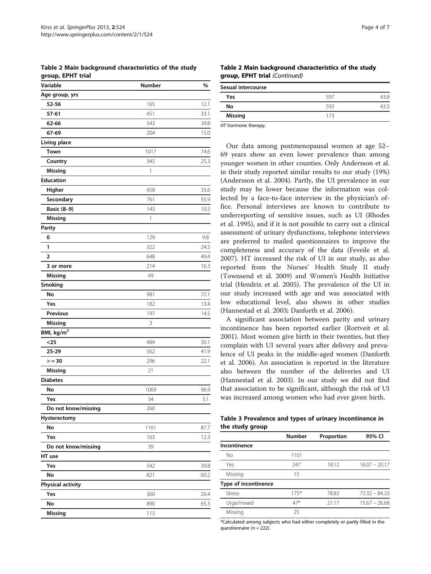<span id="page-3-0"></span>Table 2 Main background characteristics of the study group, EPHT trial

| Variable                 | <b>Number</b> | %    |
|--------------------------|---------------|------|
| Age group, yrs           |               |      |
| 52-56                    | 165           | 12.1 |
| 57-61                    | 451           | 33.1 |
| 62-66                    | 543           | 39.8 |
| 67-69                    | 204           | 15.0 |
| Living place             |               |      |
| Town                     | 1017          | 74.6 |
| Country                  | 345           | 25.3 |
| Missing                  | 1             |      |
| <b>Education</b>         |               |      |
| Higher                   | 458           | 33.6 |
| Secondary                | 761           | 55.9 |
| <b>Basic (8-9)</b>       | 143           | 10.5 |
| Missing                  | 1             |      |
| <b>Parity</b>            |               |      |
| 0                        | 129           | 9.8  |
| 1                        | 322           | 24.5 |
| $\overline{2}$           | 648           | 49.4 |
| 3 or more                | 214           | 16.3 |
| <b>Missing</b>           | 49            |      |
| Smoking                  |               |      |
| No                       | 981           | 72.1 |
| Yes                      | 182           | 13.4 |
| <b>Previous</b>          | 197           | 14.5 |
| <b>Missing</b>           | 3             |      |
| BMI, kg/m <sup>2</sup>   |               |      |
| $25$                     | 484           | 30.1 |
| 25-29                    | 562           | 41.9 |
| > 30                     | 296           | 22.1 |
| Missing                  | 21            |      |
| <b>Diabetes</b>          |               |      |
| No                       | 1069          | 96.9 |
| Yes                      | 34            | 3.1  |
| Do not know/missing      | 260           |      |
| Hysterectomy             |               |      |
| No                       | 1161          | 87.7 |
| Yes                      | 163           | 12.3 |
| Do not know/missing      | 39            |      |
| HT use                   |               |      |
| Yes                      | 542           | 39.8 |
| No                       | 821           | 60.2 |
| <b>Physical activity</b> |               |      |
| Yes                      | 360           | 26.4 |
| No                       | 890           | 65.3 |
| Missing                  | 113           |      |
|                          |               |      |

Table 2 Main background characteristics of the study group, EPHT trial (Continued)

| Sexual intercourse |     |     |
|--------------------|-----|-----|
| Yes                | 597 | 3 R |
| No                 | 593 | 24  |
| Missing            | 173 |     |

HT hormone therapy.

Our data among postmenopausal women at age 52– 69 years show an even lower prevalence than among younger women in other counties. Only Andersson et al. in their study reported similar results to our study (19%) (Andersson et al. [2004](#page-5-0)). Partly, the UI prevalence in our study may be lower because the information was collected by a face-to-face interview in the physician's office. Personal interviews are known to contribute to underreporting of sensitive issues, such as UI (Rhodes et al. [1995\)](#page-5-0), and if it is not possible to carry out a clinical assessment of urinary dysfunctions, telephone interviews are preferred to mailed questionnaires to improve the completeness and accuracy of the data (Feveile et al. [2007](#page-5-0)). HT increased the risk of UI in our study, as also reported from the Nurses' Health Study II study (Townsend et al. [2009\)](#page-5-0) and Women's Health Initiative trial (Hendrix et al. [2005](#page-5-0)). The prevalence of the UI in our study increased with age and was associated with low educational level, also shown in other studies (Hannestad et al. [2003;](#page-5-0) Danforth et al. [2006](#page-5-0)).

A significant association between parity and urinary incontinence has been reported earlier (Rortveit et al. [2001](#page-5-0)). Most women give birth in their twenties, but they complain with UI several years after delivery and prevalence of UI peaks in the middle-aged women (Danforth et al. [2006\)](#page-5-0). An association is reported in the literature also between the number of the deliveries and UI (Hannestad et al. [2003\)](#page-5-0). In our study we did not find that association to be significant, although the risk of UI was increased among women who had ever given birth.

Table 3 Prevalence and types of urinary incontinence in the study group

|                      | <b>Number</b> | Proportion | 95% CI          |
|----------------------|---------------|------------|-----------------|
| Incontinence         |               |            |                 |
| No.                  | 1101          |            |                 |
| Yes                  | 247           | 18.12      | $16.07 - 20.17$ |
| Missing              | 15            |            |                 |
| Type of incontinence |               |            |                 |
| Stress               | $175*$        | 78.83      | $73.32 - 84.33$ |
| Urge/mixed           | $47*$         | 21.17      | $15.67 - 26.68$ |
| Missing              | 25            |            |                 |

\*Calculated among subjects who had either completely or partly filled in the questionnaire (n = 222).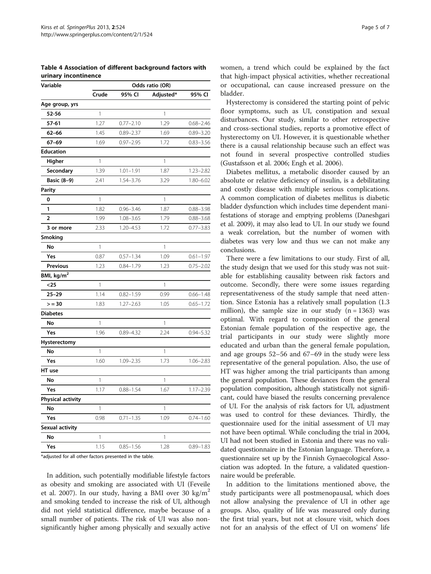<span id="page-4-0"></span>Table 4 Association of different background factors with urinary incontinence

| Variable                 | Odds ratio (OR) |               |              |               |  |
|--------------------------|-----------------|---------------|--------------|---------------|--|
|                          | Crude           | 95% CI        | Adjusted*    | 95% CI        |  |
| Age group, yrs           |                 |               |              |               |  |
| 52-56                    | 1               |               | 1            |               |  |
| $57 - 61$                | 1.27            | $0.77 - 2.10$ | 1.29         | $0.68 - 2.46$ |  |
| $62 - 66$                | 1.45            | $0.89 - 2.37$ | 1.69         | $0.89 - 3.20$ |  |
| 67-69                    | 1.69            | $0.97 - 2.95$ | 1.72         | $0.83 - 3.56$ |  |
| <b>Education</b>         |                 |               |              |               |  |
| Higher                   | 1               |               | 1            |               |  |
| Secondary                | 1.39            | $1.01 - 1.91$ | 1.87         | $1.23 - 2.82$ |  |
| Basic (8-9)              | 2.41            | 1.54-3.76     | 3.29         | 1.80-6.02     |  |
| <b>Parity</b>            |                 |               |              |               |  |
| 0                        | $\mathbf{1}$    |               | $\mathbb{1}$ |               |  |
| 1                        | 1.82            | $0.96 - 3.46$ | 1.87         | $0.88 - 3.98$ |  |
| $\overline{2}$           | 1.99            | $1.08 - 3.65$ | 1.79         | $0.88 - 3.68$ |  |
| 3 or more                | 2.33            | 1.20-4.53     | 1.72         | $0.77 - 3.83$ |  |
| <b>Smoking</b>           |                 |               |              |               |  |
| No                       | 1               |               | 1            |               |  |
| Yes                      | 0.87            | $0.57 - 1.34$ | 1.09         | $0.61 - 1.97$ |  |
| Previous                 | 1.23            | $0.84 - 1.79$ | 1.23         | $0.75 - 2.02$ |  |
| BMI, kg/m <sup>2</sup>   |                 |               |              |               |  |
| $25$                     | 1               |               | 1            |               |  |
| $25 - 29$                | 1.14            | $0.82 - 1.59$ | 0.99         | $0.66 - 1.48$ |  |
| > 30                     | 1.83            | $1.27 - 2.63$ | 1.05         | $0.65 - 1.72$ |  |
| <b>Diabetes</b>          |                 |               |              |               |  |
| No                       | 1               |               | 1            |               |  |
| Yes                      | 1.96            | $0.89 - 4.32$ | 2.24         | $0.94 - 5.32$ |  |
| Hysterectomy             |                 |               |              |               |  |
| No                       | 1               |               | 1            |               |  |
| Yes                      | 1.60            | $1.09 - 2.35$ | 1.73         | $1.06 - 2.83$ |  |
| HT use                   |                 |               |              |               |  |
| No                       | 1               |               | 1            |               |  |
| Yes                      | 1.17            | $0.88 - 1.54$ | 1.67         | $1.17 - 2.39$ |  |
| <b>Physical activity</b> |                 |               |              |               |  |
| No                       | 1               |               | 1            |               |  |
| Yes                      | 0.98            | $0.71 - 1.35$ | 1.09         | $0.74 - 1.60$ |  |
| Sexual activity          |                 |               |              |               |  |
| No                       | 1               |               | 1            |               |  |
| Yes                      | 1.15            | $0.85 - 1.56$ | 1.28         | $0.89 - 1.83$ |  |
|                          |                 |               |              |               |  |

\*adjusted for all other factors presented in the table.

In addition, such potentially modifiable lifestyle factors as obesity and smoking are associated with UI (Feveile et al. [2007\)](#page-5-0). In our study, having a BMI over 30 kg/m<sup>2</sup> and smoking tended to increase the risk of UI, although did not yield statistical difference, maybe because of a small number of patients. The risk of UI was also nonsignificantly higher among physically and sexually active

women, a trend which could be explained by the fact that high-impact physical activities, whether recreational or occupational, can cause increased pressure on the bladder.

Hysterectomy is considered the starting point of pelvic floor symptoms, such as UI, constipation and sexual disturbances. Our study, similar to other retrospective and cross-sectional studies, reports a promotive effect of hysterectomy on UI. However, it is questionable whether there is a causal relationship because such an effect was not found in several prospective controlled studies (Gustafsson et al. [2006;](#page-5-0) Engh et al. [2006](#page-5-0)).

Diabetes mellitus, a metabolic disorder caused by an absolute or relative deficiency of insulin, is a debilitating and costly disease with multiple serious complications. A common complication of diabetes mellitus is diabetic bladder dysfunction which includes time dependent manifestations of storage and emptying problems (Daneshgari et al. [2009](#page-5-0)), it may also lead to UI. In our study we found a weak correlation, but the number of women with diabetes was very low and thus we can not make any conclusions.

There were a few limitations to our study. First of all, the study design that we used for this study was not suitable for establishing causality between risk factors and outcome. Secondly, there were some issues regarding representativeness of the study sample that need attention. Since Estonia has a relatively small population (1.3 million), the sample size in our study  $(n = 1363)$  was optimal. With regard to composition of the general Estonian female population of the respective age, the trial participants in our study were slightly more educated and urban than the general female population, and age groups 52–56 and 67–69 in the study were less representative of the general population. Also, the use of HT was higher among the trial participants than among the general population. These deviances from the general population composition, although statistically not significant, could have biased the results concerning prevalence of UI. For the analysis of risk factors for UI, adjustment was used to control for these deviances. Thirdly, the questionnaire used for the initial assessment of UI may not have been optimal. While concluding the trial in 2004, UI had not been studied in Estonia and there was no validated questionnaire in the Estonian language. Therefore, a questionnaire set up by the Finnish Gynaecological Association was adopted. In the future, a validated questionnaire would be preferable.

In addition to the limitations mentioned above, the study participants were all postmenopausal, which does not allow analysing the prevalence of UI in other age groups. Also, quality of life was measured only during the first trial years, but not at closure visit, which does not for an analysis of the effect of UI on womens' life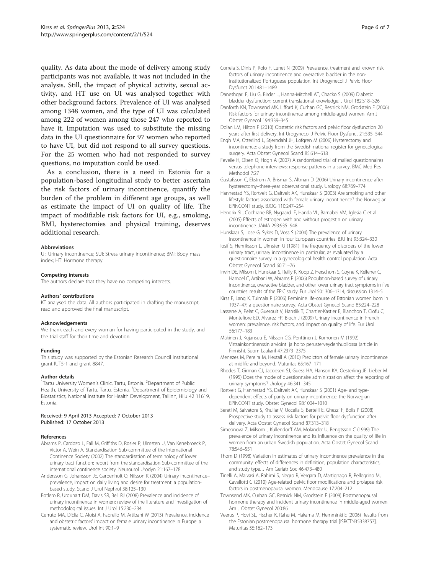<span id="page-5-0"></span>quality. As data about the mode of delivery among study participants was not available, it was not included in the analysis. Still, the impact of physical activity, sexual activity, and HT use on UI was analysed together with other background factors. Prevalence of UI was analysed among 1348 women, and the type of UI was calculated among 222 of women among those 247 who reported to have it. Imputation was used to substitute the missing data in the UI questionnaire for 97 women who reported to have UI, but did not respond to all survey questions. For the 25 women who had not responded to survey questions, no imputation could be used.

As a conclusion, there is a need in Estonia for a population-based longitudinal study to better ascertain the risk factors of urinary incontinence, quantify the burden of the problem in different age groups, as well as estimate the impact of UI on quality of life. The impact of modifiable risk factors for UI, e.g., smoking, BMI, hysterectomies and physical training, deserves additional research.

#### Abbreviations

UI: Urinary incontinence; SUI: Stress urinary incontinence; BMI: Body mass index; HT: Hormone therapy.

#### Competing interests

The authors declare that they have no competing interests.

#### Authors' contributions

KT analysed the data. All authors participated in drafting the manuscript, read and approved the final manuscript.

#### Acknowledgements

We thank each and every woman for having participated in the study, and the trial staff for their time and devotion.

#### Funding

This study was supported by the Estonian Research Council institutional grant IUT5-1 and grant 8847.

### Author details

<sup>1</sup>Tartu University Women's Clinic, Tartu, Estonia. <sup>2</sup>Department of Public Health, University of Tartu, Tartu, Estonia. <sup>3</sup>Department of Epidemiology and Biostatistics, National Institute for Health Development, Tallinn, Hiiu 42 11619, Estonia.

#### Received: 9 April 2013 Accepted: 7 October 2013 Published: 17 October 2013

#### References

- Abrams P, Cardozo L, Fall M, Griffiths D, Rosier P, Ulmsten U, Van Kerrebroeck P, Victor A, Wein A, Standardisation Sub-committee of the International Continence Society (2002) The standardisation of terminology of lower urinary tract function: report from the standardisation Sub-committee of the international continence society. Neurourol Urodyn 21:167–178
- Andersson G, Johansson JE, Garpenholt O, Nilsson K (2004) Urinary incontinence– prevalence, impact on daily living and desire for treatment: a populationbased study. Scand J Urol Nephrol 38:125–130
- Botlero R, Urquhart DM, Davis SR, Bell RJ (2008) Prevalence and incidence of urinary incontinence in women: review of the literature and investigation of methodological issues. Int J Urol 15:230–234
- Cerruto MA, D'Elia C, Aloisi A, Fabrello M, Artibani W (2013) Prevalence, incidence and obstetric factors' impact on female urinary incontinence in Europe: a systematic review. Urol Int 90:1–9
- Correia S, Dinis P, Rolo F, Lunet N (2009) Prevalence, treatment and known risk factors of urinary incontinence and overactive bladder in the noninstitutionalized Portuguese population. Int Urogynecol J Pelvic Floor Dysfunct 20:1481–1489
- Daneshgari F, Liu G, Birder L, Hanna-Mitchell AT, Chacko S (2009) Diabetic bladder dysfunction: current translational knowledge. J Urol 182:S18–S26
- Danforth KN, Townsend MK, Lifford K, Curhan GC, Resnick NM, Grodstein F (2006) Risk factors for urinary incontinence among middle-aged women. Am J Obstet Gynecol 194:339–345
- Dolan LM, Hilton P (2010) Obstetric risk factors and pelvic floor dysfunction 20 years after first delivery. Int Urogynecol J Pelvic Floor Dysfunct 21:535–544
- Engh MA, Otterlind L, Stjerndahl JH, Lofgren M (2006) Hysterectomy and incontinence: a study from the Swedish national register for gynecological surgery. Acta Obstet Gynecol Scand 85:614–618
- Feveile H, Olsen O, Hogh A (2007) A randomized trial of mailed questionnaires versus telephone interviews: response patterns in a survey. BMC Med Res Methodol 7:27
- Gustafsson C, Ekstrom A, Brismar S, Altman D (2006) Urinary incontinence after hysterectomy–three-year observational study. Urology 68:769–774
- Hannestad YS, Rortveit G, Daltveit AK, Hunskaar S (2003) Are smoking and other lifestyle factors associated with female urinary incontinence? the Norwegian EPINCONT study. BJOG 110:247–254
- Hendrix SL, Cochrane BB, Nygaard IE, Handa VL, Barnabei VM, Iglesia C et al (2005) Effects of estrogen with and without progestin on urinary incontinence. JAMA 293:935–948
- Hunskaar S, Lose G, Sykes D, Voss S (2004) The prevalence of urinary incontinence in women in four European countries. BJU Int 93:324–330
- Iosif S, Henriksson L, Ulmsten U (1981) The frequency of disorders of the lower urinary tract, urinary incontinence in particular, as evaluated by a questionnaire survey in a gynecological health control population. Acta Obstet Gynecol Scand 60:71–76
- Irwin DE, Milsom I, Hunskaar S, Reilly K, Kopp Z, Herschorn S, Coyne K, Kelleher C, Hampel C, Artibani W, Abrams P (2006) Population-based survey of urinary incontinence, overactive bladder, and other lower urinary tract symptoms in five countries: results of the EPIC study. Eur Urol 50:1306–1314, discussion 1314–5
- Kirss F, Lang K, Tuimala R (2006) Feminine life-course of Estonian women born in 1937–47: a questionnaire survey. Acta Obstet Gynecol Scand 85:224–228
- Lasserre A, Pelat C, Gueroult V, Hanslik T, Chartier-Kastler E, Blanchon T, Ciofu C, Montefiore ED, Alvarez FP, Bloch J (2009) Urinary incontinence in French women: prevalence, risk factors, and impact on quality of life. Eur Urol 56:177–183

Mäkinen J, Kujansuu E, Nilsson CG, Penttinen J, Korhonen M (1992) Virtsainkontinenssin arviointi ja hoito perusterveydenhuollossa (article in Finnish). Suom Laakaril 47:2373–2375

- Menezes M, Pereira M, Hextall A (2010) Predictors of female urinary incontinence at midlife and beyond. Maturitas 65:167–171
- Rhodes T, Girman CJ, Jacobsen SJ, Guess HA, Hanson KA, Oesterling JE, Lieber M (1995) Does the mode of questionnaire administration affect the reporting of urinary symptoms? Urology 46:341–345
- Rortveit G, Hannestad YS, Daltveit AK, Hunskaar S (2001) Age- and typedependent effects of parity on urinary incontinence: the Norwegian EPINCONT study. Obstet Gynecol 98:1004–1010

Serati M, Salvatore S, Khullar V, Uccella S, Bertelli E, Ghezzi F, Bolis P (2008) Prospective study to assess risk factors for pelvic floor dysfunction after delivery. Acta Obstet Gynecol Scand 87:313–318

Simeonova Z, Milsom I, Kullendorff AM, Molander U, Bengtsson C (1999) The prevalence of urinary incontinence and its influence on the quality of life in women from an urban Swedish population. Acta Obstet Gynecol Scand 78:546–551

- Thom D (1998) Variation in estimates of urinary incontinence prevalence in the community: effects of differences in definition, population characteristics, and study type. J Am Geriatr Soc 46:473–480
- Tinelli A, Malvasi A, Rahimi S, Negro R, Vergara D, Martignago R, Pellegrino M, Cavallotti C (2010) Age-related pelvic floor modifications and prolapse risk factors in postmenopausal women. Menopause 17:204–212
- Townsend MK, Curhan GC, Resnick NM, Grodstein F (2009) Postmenopausal hormone therapy and incident urinary incontinence in middle-aged women. Am J Obstet Gynecol 200:86
- Veerus P, Hovi SL, Fischer K, Rahu M, Hakama M, Hemminki E (2006) Results from the Estonian postmenopausal hormone therapy trial [ISRCTN35338757]. Maturitas 55:162–173